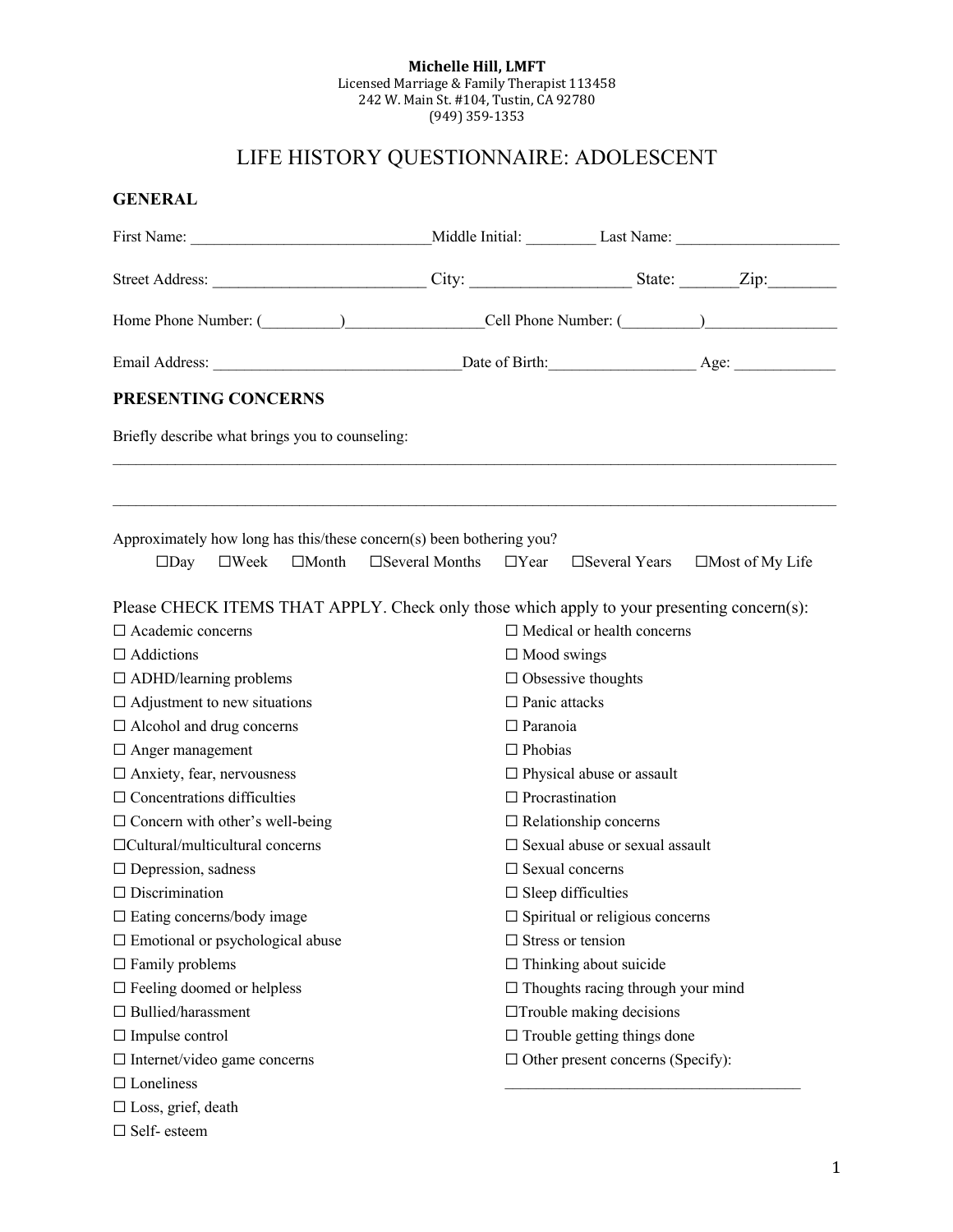#### **Michelle Hill, LMFT** Licensed Marriage & Family Therapist 113458 242 W. Main St. #104, Tustin, CA 92780 (949) 359-1353

# LIFE HISTORY QUESTIONNAIRE: ADOLESCENT

| <b>GENERAL</b>                                                                                                                                                                                                                |                                                   |                                                            |                                           |                        |  |
|-------------------------------------------------------------------------------------------------------------------------------------------------------------------------------------------------------------------------------|---------------------------------------------------|------------------------------------------------------------|-------------------------------------------|------------------------|--|
|                                                                                                                                                                                                                               |                                                   |                                                            |                                           |                        |  |
|                                                                                                                                                                                                                               |                                                   |                                                            |                                           |                        |  |
| Home Phone Number: (Champion Cell Phone Number: (Champion Cell Phone Number: (Champion Cell Phone Number: (Champion Cell Phone Number: (Champion Cell Phone Number: (Champion Cell Phone Number: (Champion Cell Phone Number: |                                                   |                                                            |                                           |                        |  |
|                                                                                                                                                                                                                               |                                                   |                                                            |                                           |                        |  |
| <b>PRESENTING CONCERNS</b>                                                                                                                                                                                                    |                                                   |                                                            |                                           |                        |  |
| Briefly describe what brings you to counseling:                                                                                                                                                                               |                                                   |                                                            |                                           |                        |  |
| Approximately how long has this/these concern(s) been bothering you?<br>$\square$ Day<br>$\square$ Week $\square$ Month $\square$ Several Months $\square$ Year $\square$ Several Years                                       |                                                   |                                                            |                                           | $\Box$ Most of My Life |  |
|                                                                                                                                                                                                                               |                                                   |                                                            |                                           |                        |  |
| Please CHECK ITEMS THAT APPLY. Check only those which apply to your presenting concern(s):                                                                                                                                    |                                                   |                                                            |                                           |                        |  |
| $\Box$ Academic concerns                                                                                                                                                                                                      |                                                   |                                                            | $\Box$ Medical or health concerns         |                        |  |
| $\Box$ Addictions                                                                                                                                                                                                             | $\Box$ Mood swings                                |                                                            |                                           |                        |  |
| $\Box$ ADHD/learning problems                                                                                                                                                                                                 | $\Box$ Obsessive thoughts<br>$\Box$ Panic attacks |                                                            |                                           |                        |  |
| $\Box$ Adjustment to new situations                                                                                                                                                                                           | $\Box$ Paranoia                                   |                                                            |                                           |                        |  |
| $\Box$ Alcohol and drug concerns                                                                                                                                                                                              |                                                   |                                                            |                                           |                        |  |
| $\Box$ Anger management<br>$\Box$ Anxiety, fear, nervousness                                                                                                                                                                  |                                                   | $\Box$ Phobias                                             |                                           |                        |  |
| $\Box$ Concentrations difficulties                                                                                                                                                                                            |                                                   | $\Box$ Physical abuse or assault<br>$\Box$ Procrastination |                                           |                        |  |
| $\Box$ Concern with other's well-being                                                                                                                                                                                        |                                                   | $\Box$ Relationship concerns                               |                                           |                        |  |
| $\Box$ Cultural/multicultural concerns                                                                                                                                                                                        |                                                   |                                                            | □ Sexual abuse or sexual assault          |                        |  |
| $\Box$ Depression, sadness                                                                                                                                                                                                    |                                                   |                                                            | $\Box$ Sexual concerns                    |                        |  |
| $\Box$ Discrimination                                                                                                                                                                                                         |                                                   |                                                            | $\Box$ Sleep difficulties                 |                        |  |
| $\Box$ Eating concerns/body image                                                                                                                                                                                             |                                                   |                                                            | $\square$ Spiritual or religious concerns |                        |  |
| $\square$ Emotional or psychological abuse                                                                                                                                                                                    |                                                   |                                                            | $\Box$ Stress or tension                  |                        |  |
| $\Box$ Family problems                                                                                                                                                                                                        |                                                   |                                                            | $\Box$ Thinking about suicide             |                        |  |
| $\square$ Feeling doomed or helpless                                                                                                                                                                                          |                                                   |                                                            | $\Box$ Thoughts racing through your mind  |                        |  |
| $\Box$ Bullied/harassment                                                                                                                                                                                                     |                                                   |                                                            | $\Box$ Trouble making decisions           |                        |  |
| $\Box$ Impulse control                                                                                                                                                                                                        |                                                   |                                                            | $\Box$ Trouble getting things done        |                        |  |
| $\Box$ Internet/video game concerns                                                                                                                                                                                           |                                                   |                                                            | $\Box$ Other present concerns (Specify):  |                        |  |
| $\square$ Loneliness                                                                                                                                                                                                          |                                                   |                                                            |                                           |                        |  |
| $\square$ Loss, grief, death                                                                                                                                                                                                  |                                                   |                                                            |                                           |                        |  |
| $\Box$ Self-esteem                                                                                                                                                                                                            |                                                   |                                                            |                                           |                        |  |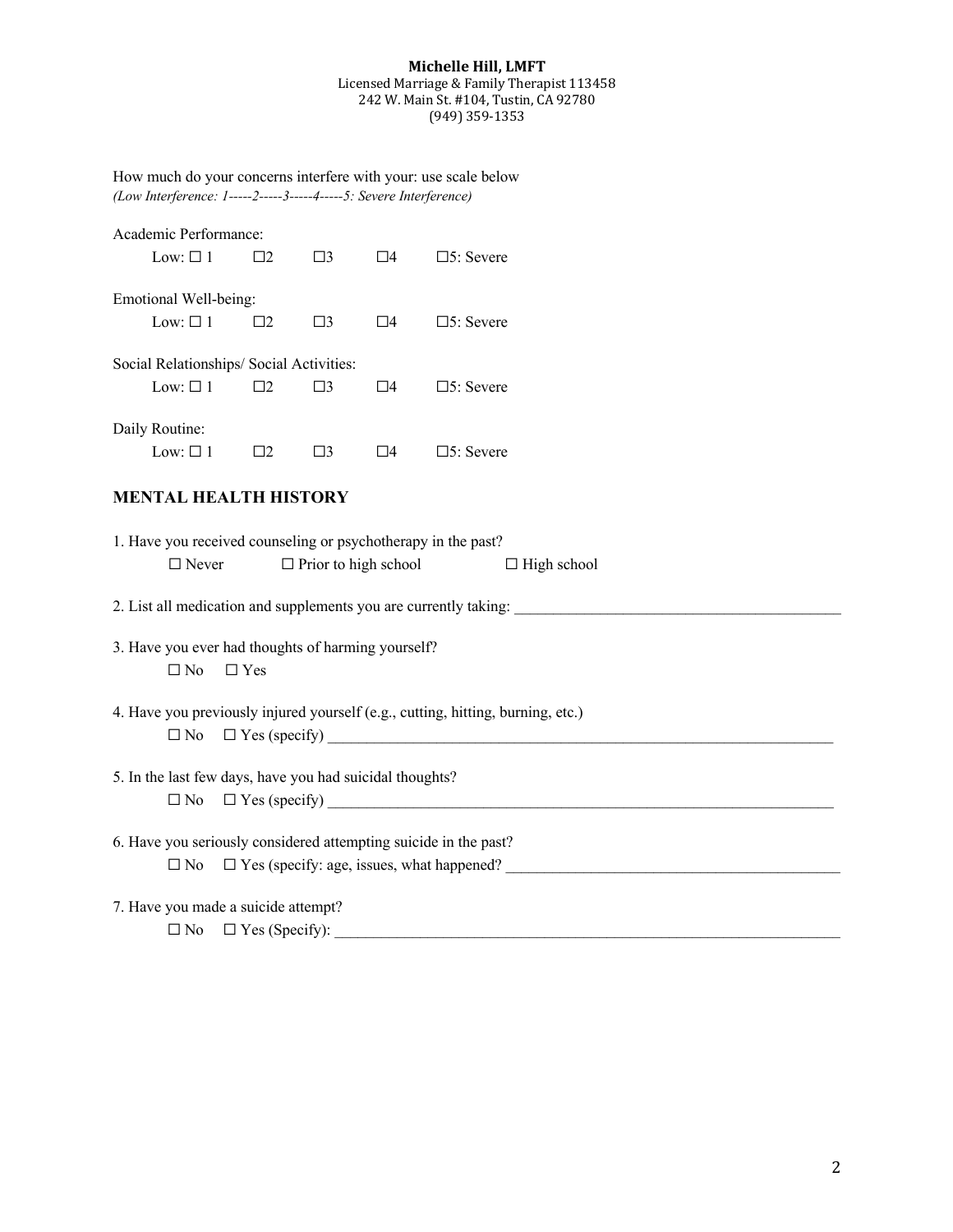#### **Michelle Hill, LMFT**

#### Licensed Marriage & Family Therapist 113458 242 W. Main St. #104, Tustin, CA 92780 (949) 359-1353

| How much do your concerns interfere with your: use scale below     |  |
|--------------------------------------------------------------------|--|
| $(Low Interference: 1-----2-----3-----4---5: Severe Interference)$ |  |

|                | Academic Performance:<br>Low: $\square$ 1 | $\square$                                                        | $\square$ 3 | $\square 4$                 | $\square$ 5: Severe                                                                 |
|----------------|-------------------------------------------|------------------------------------------------------------------|-------------|-----------------------------|-------------------------------------------------------------------------------------|
|                | Emotional Well-being:<br>Low: $\square$ 1 | $\square$                                                        | $\square$ 3 | $\square$ 4                 | $\square$ 5: Severe                                                                 |
|                | Low: $\square$ 1                          | Social Relationships/ Social Activities:<br>$\square$ 2          | $\square$ 3 | $\square 4$                 | $\square$ 5: Severe                                                                 |
| Daily Routine: | Low: $\square$ 1                          | $\square$                                                        | $\square$ 3 | $\square$ 4                 | $\square$ 5: Severe                                                                 |
|                |                                           | <b>MENTAL HEALTH HISTORY</b>                                     |             |                             |                                                                                     |
|                | $\Box$ Never                              |                                                                  |             | $\Box$ Prior to high school | 1. Have you received counseling or psychotherapy in the past?<br>$\Box$ High school |
|                |                                           |                                                                  |             |                             |                                                                                     |
|                | $\Box$ No                                 | 3. Have you ever had thoughts of harming yourself?<br>$\Box$ Yes |             |                             |                                                                                     |
|                | $\square$ No                              |                                                                  |             |                             | 4. Have you previously injured yourself (e.g., cutting, hitting, burning, etc.)     |
|                | $\square$ No                              | 5. In the last few days, have you had suicidal thoughts?         |             |                             |                                                                                     |
|                | $\square$ No                              |                                                                  |             |                             | 6. Have you seriously considered attempting suicide in the past?                    |
|                |                                           | 7. Have you made a suicide attempt?                              |             |                             | $\Box$ No $\Box$ Yes (Specify):                                                     |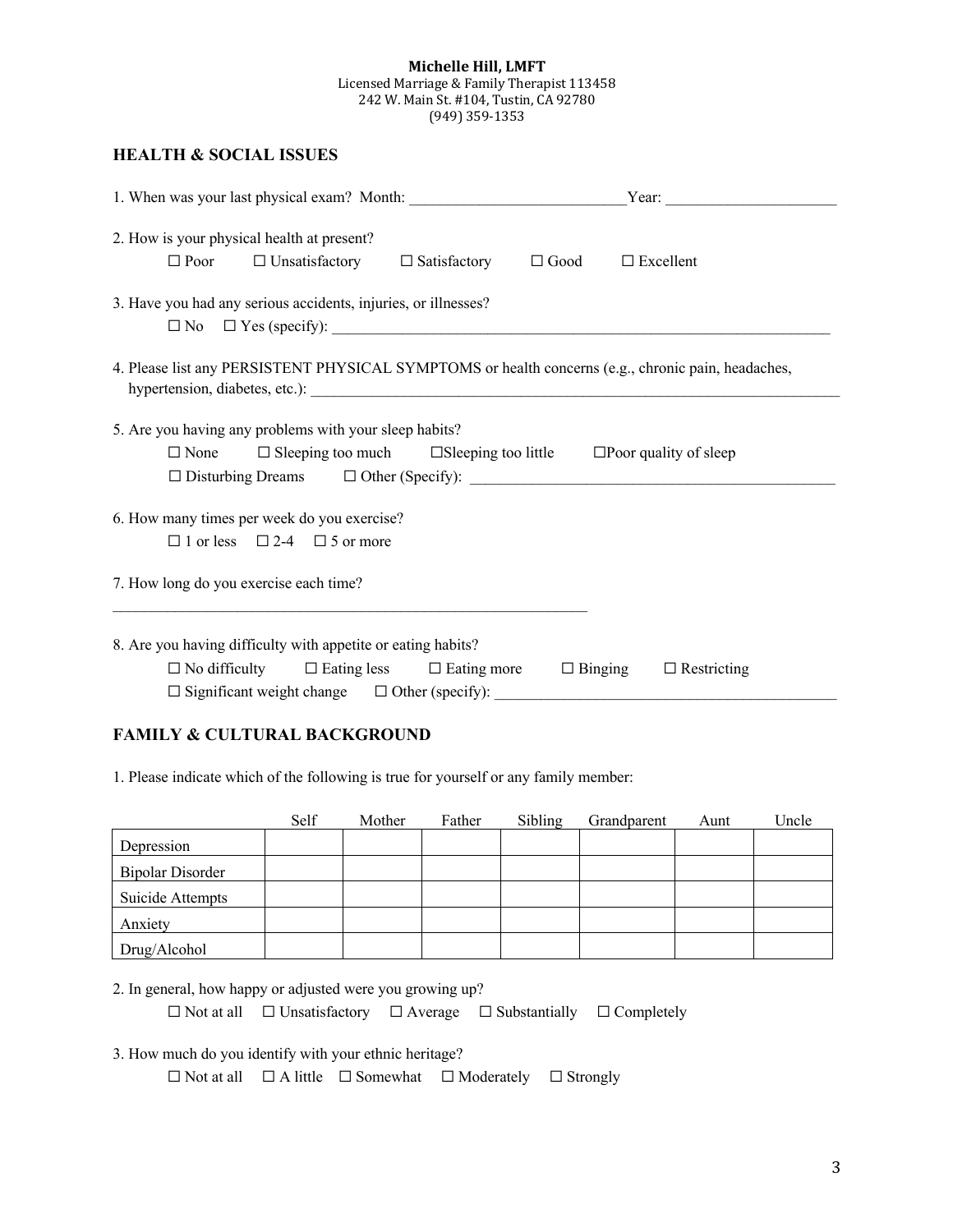#### **Michelle Hill, LMFT** Licensed Marriage & Family Therapist 113458 242 W. Main St. #104, Tustin, CA 92780 (949) 359-1353

## **HEALTH & SOCIAL ISSUES**

| 2. How is your physical health at present?<br>$\Box$ Poor                                          | $\Box$ Unsatisfactory $\Box$ Satisfactory $\Box$ Good                                                                  |  |  | $\square$ Excellent                  |  |
|----------------------------------------------------------------------------------------------------|------------------------------------------------------------------------------------------------------------------------|--|--|--------------------------------------|--|
| 3. Have you had any serious accidents, injuries, or illnesses?                                     |                                                                                                                        |  |  |                                      |  |
| 4. Please list any PERSISTENT PHYSICAL SYMPTOMS or health concerns (e.g., chronic pain, headaches, |                                                                                                                        |  |  |                                      |  |
| 5. Are you having any problems with your sleep habits?<br>$\Box$ None                              | $\Box$ Sleeping too much $\Box$ Sleeping too little $\Box$ Poor quality of sleep                                       |  |  |                                      |  |
| 6. How many times per week do you exercise?                                                        | $\Box$ 1 or less $\Box$ 2-4 $\Box$ 5 or more                                                                           |  |  |                                      |  |
| 7. How long do you exercise each time?                                                             |                                                                                                                        |  |  |                                      |  |
| 8. Are you having difficulty with appetite or eating habits?                                       | $\Box$ No difficulty $\Box$ Eating less $\Box$ Eating more<br>$\Box$ Significant weight change $\Box$ Other (specify): |  |  | $\Box$ Binging<br>$\Box$ Restricting |  |

### **FAMILY & CULTURAL BACKGROUND**

1. Please indicate which of the following is true for yourself or any family member:

|                         | Self | Mother | Father | Sibling | Grandparent | Aunt | Uncle |
|-------------------------|------|--------|--------|---------|-------------|------|-------|
| Depression              |      |        |        |         |             |      |       |
| <b>Bipolar Disorder</b> |      |        |        |         |             |      |       |
| Suicide Attempts        |      |        |        |         |             |      |       |
| Anxiety                 |      |        |        |         |             |      |       |
| Drug/Alcohol            |      |        |        |         |             |      |       |

2. In general, how happy or adjusted were you growing up?

☐ Not at all ☐ Unsatisfactory ☐ Average ☐ Substantially ☐ Completely

3. How much do you identify with your ethnic heritage?

☐ Not at all ☐ A little ☐ Somewhat ☐ Moderately ☐ Strongly